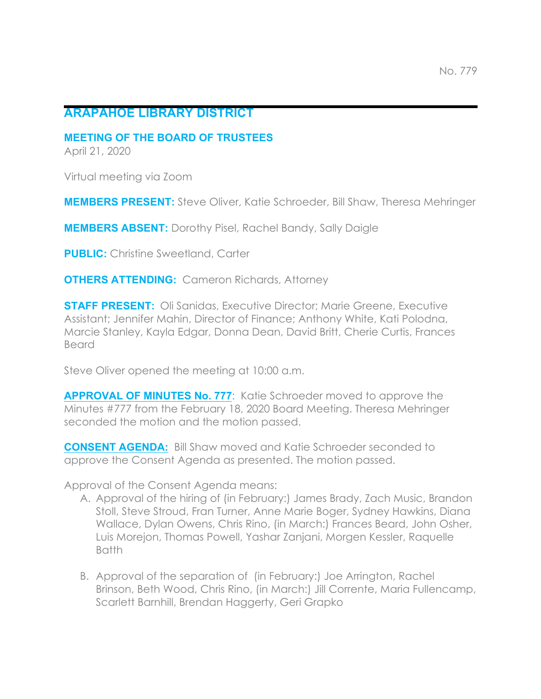## **ARAPAHOE LIBRARY DISTRICT**

**MEETING OF THE BOARD OF TRUSTEES**

April 21, 2020

Virtual meeting via Zoom

**MEMBERS PRESENT:** Steve Oliver, Katie Schroeder, Bill Shaw, Theresa Mehringer

**MEMBERS ABSENT:** Dorothy Pisel, Rachel Bandy, Sally Daigle

**PUBLIC:** Christine Sweetland, Carter

**OTHERS ATTENDING:** Cameron Richards, Attorney

**STAFF PRESENT:** Oli Sanidas, Executive Director; Marie Greene, Executive Assistant; Jennifer Mahin, Director of Finance; Anthony White, Kati Polodna, Marcie Stanley, Kayla Edgar, Donna Dean, David Britt, Cherie Curtis, Frances Beard

Steve Oliver opened the meeting at 10:00 a.m.

**APPROVAL OF MINUTES No. 777**: Katie Schroeder moved to approve the Minutes #777 from the February 18, 2020 Board Meeting. Theresa Mehringer seconded the motion and the motion passed.

**CONSENT AGENDA:** Bill Shaw moved and Katie Schroeder seconded to approve the Consent Agenda as presented. The motion passed.

Approval of the Consent Agenda means:

- A. Approval of the hiring of (in February:) James Brady, Zach Music, Brandon Stoll, Steve Stroud, Fran Turner, Anne Marie Boger, Sydney Hawkins, Diana Wallace, Dylan Owens, Chris Rino, (in March:) Frances Beard, John Osher, Luis Morejon, Thomas Powell, Yashar Zanjani, Morgen Kessler, Raquelle Batth
- B. Approval of the separation of (in February:) Joe Arrington, Rachel Brinson, Beth Wood, Chris Rino, (in March:) Jill Corrente, Maria Fullencamp, Scarlett Barnhill, Brendan Haggerty, Geri Grapko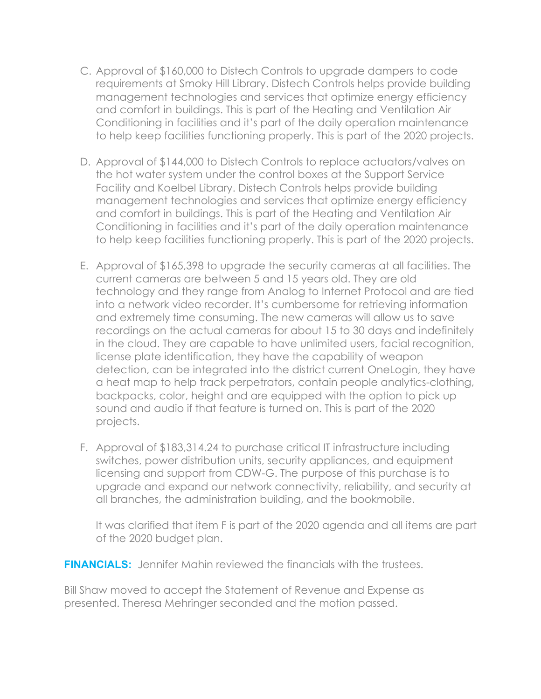- C. Approval of \$160,000 to Distech Controls to upgrade dampers to code requirements at Smoky Hill Library. Distech Controls helps provide building management technologies and services that optimize energy efficiency and comfort in buildings. This is part of the Heating and Ventilation Air Conditioning in facilities and it's part of the daily operation maintenance to help keep facilities functioning properly. This is part of the 2020 projects.
- D. Approval of \$144,000 to Distech Controls to replace actuators/valves on the hot water system under the control boxes at the Support Service Facility and Koelbel Library. Distech Controls helps provide building management technologies and services that optimize energy efficiency and comfort in buildings. This is part of the Heating and Ventilation Air Conditioning in facilities and it's part of the daily operation maintenance to help keep facilities functioning properly. This is part of the 2020 projects.
- E. Approval of \$165,398 to upgrade the security cameras at all facilities. The current cameras are between 5 and 15 years old. They are old technology and they range from Analog to Internet Protocol and are tied into a network video recorder. It's cumbersome for retrieving information and extremely time consuming. The new cameras will allow us to save recordings on the actual cameras for about 15 to 30 days and indefinitely in the cloud. They are capable to have unlimited users, facial recognition, license plate identification, they have the capability of weapon detection, can be integrated into the district current OneLogin, they have a heat map to help track perpetrators, contain people analytics-clothing, backpacks, color, height and are equipped with the option to pick up sound and audio if that feature is turned on. This is part of the 2020 projects.
- F. Approval of \$183,314.24 to purchase critical IT infrastructure including switches, power distribution units, security appliances, and equipment licensing and support from CDW-G. The purpose of this purchase is to upgrade and expand our network connectivity, reliability, and security at all branches, the administration building, and the bookmobile.

It was clarified that item F is part of the 2020 agenda and all items are part of the 2020 budget plan.

**FINANCIALS:** Jennifer Mahin reviewed the financials with the trustees.

Bill Shaw moved to accept the Statement of Revenue and Expense as presented. Theresa Mehringer seconded and the motion passed.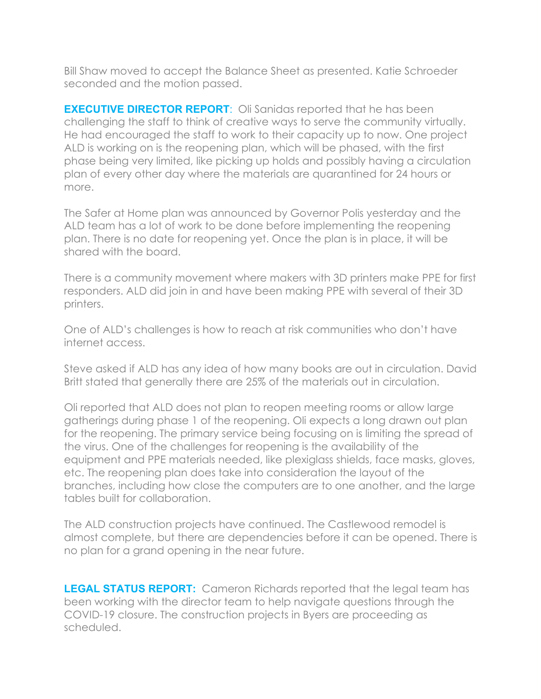Bill Shaw moved to accept the Balance Sheet as presented. Katie Schroeder seconded and the motion passed.

**EXECUTIVE DIRECTOR REPORT**: Oli Sanidas reported that he has been challenging the staff to think of creative ways to serve the community virtually. He had encouraged the staff to work to their capacity up to now. One project ALD is working on is the reopening plan, which will be phased, with the first phase being very limited, like picking up holds and possibly having a circulation plan of every other day where the materials are quarantined for 24 hours or more.

The Safer at Home plan was announced by Governor Polis yesterday and the ALD team has a lot of work to be done before implementing the reopening plan. There is no date for reopening yet. Once the plan is in place, it will be shared with the board.

There is a community movement where makers with 3D printers make PPE for first responders. ALD did join in and have been making PPE with several of their 3D printers.

One of ALD's challenges is how to reach at risk communities who don't have internet access.

Steve asked if ALD has any idea of how many books are out in circulation. David Britt stated that generally there are 25% of the materials out in circulation.

Oli reported that ALD does not plan to reopen meeting rooms or allow large gatherings during phase 1 of the reopening. Oli expects a long drawn out plan for the reopening. The primary service being focusing on is limiting the spread of the virus. One of the challenges for reopening is the availability of the equipment and PPE materials needed, like plexiglass shields, face masks, gloves, etc. The reopening plan does take into consideration the layout of the branches, including how close the computers are to one another, and the large tables built for collaboration.

The ALD construction projects have continued. The Castlewood remodel is almost complete, but there are dependencies before it can be opened. There is no plan for a grand opening in the near future.

**LEGAL STATUS REPORT:** Cameron Richards reported that the legal team has been working with the director team to help navigate questions through the COVID-19 closure. The construction projects in Byers are proceeding as scheduled.